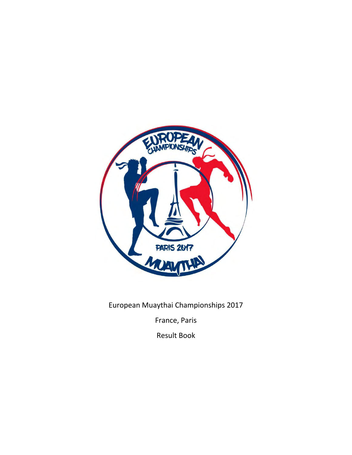

European Muaythai Championships 2017

France, Paris

Result Book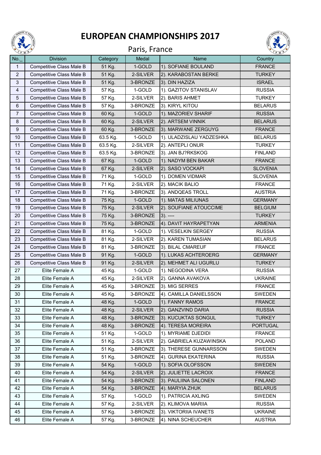

## **EUROPEAN CHAMPIONSHIPS 2017**





| <b>No.</b>       | $\cdot$ M<br><b>Division</b>     | Category         | Medal              | <b>Name</b>                            | $\sim$<br>Country               |
|------------------|----------------------------------|------------------|--------------------|----------------------------------------|---------------------------------|
| 1                | Competitive Class Male B         | 51 Kg.           | 1-GOLD             | 1). SOFIANE BOULAND                    | <b>FRANCE</b>                   |
| $\overline{2}$   | Competitive Class Male B         | 51 Kg.           | 2-SILVER           | 2). KARABOSTAN BERKE                   | <b>TURKEY</b>                   |
| $\mathbf{3}$     | Competitive Class Male B         | 51 Kg.           | 3-BRONZE           | 3). DIN HAZIZA                         | <b>ISRAEL</b>                   |
| 4                | Competitive Class Male B         | 57 Kg.           | 1-GOLD             | 1). GAZITOV STANISLAV                  | <b>RUSSIA</b>                   |
| $\sqrt{5}$       | Competitive Class Male B         | 57 Kg.           | 2-SILVER           | 2). BARIS AHMET                        | <b>TURKEY</b>                   |
| $\,6\,$          | Competitive Class Male B         | 57 Kg.           | 3-BRONZE           | 3). KIRYL KITOU                        | <b>BELARUS</b>                  |
| $\overline{7}$   | Competitive Class Male B         | 60 Kg.           | 1-GOLD             | 1). MAZORIEV SHARIF                    | <b>RUSSIA</b>                   |
| 8                | Competitive Class Male B         | 60 Kg.           | 2-SILVER           | 2). ARTSEM VINNIK                      | <b>BELARUS</b>                  |
| $\boldsymbol{9}$ | Competitive Class Male B         | 60 Kg.           | 3-BRONZE           | 3). MARWANE ZERGUYG                    | <b>FRANCE</b>                   |
| 10               | Competitive Class Male B         | 63.5 Kg.         | 1-GOLD             | 1). ULADZISLAU YADZESHKA               | <b>BELARUS</b>                  |
| 11               | Competitive Class Male B         | 63.5 Kg.         | 2-SILVER           | 2). ANTEPLI ONUR                       | <b>TURKEY</b>                   |
| 12               | Competitive Class Male B         | 63.5 Kg.         | 3-BRONZE           | 3). JAN BJ?RKSKOG                      | <b>FINLAND</b>                  |
| 13               | Competitive Class Male B         | 67 Kg.           | 1-GOLD             | 1). NADYM BEN BAKAR                    | <b>FRANCE</b>                   |
| 14               | Competitive Class Male B         | 67 Kg.           | 2-SILVER           | 2). SASO VOCKAPI                       | <b>SLOVENIA</b>                 |
| 15               | Competitive Class Male B         | 71 Kg.           | 1-GOLD             | 1). DOMEN VIDMAR                       | <b>SLOVENIA</b>                 |
| 16               | Competitive Class Male B         | 71 Kg.           | 2-SILVER           | 2). MACIK BALIO                        | <b>FRANCE</b>                   |
| 17               | Competitive Class Male B         | 71 Kg.           | 3-BRONZE           | 3). ANDQEAS TROLL                      | <b>AUSTRIA</b>                  |
| 18               | Competitive Class Male B         | 75 Kg.           | 1-GOLD             | 1). MATAS MILIUNAS                     | <b>GERMANY</b>                  |
| 19               | Competitive Class Male B         | 75 Kg.           | 2-SILVER           | 2). SOUFIANE ATOUCCIME                 | <b>BELGIUM</b>                  |
| 20               | Competitive Class Male B         | 75 Kg.           | 3-BRONZE           | $3)$ . ----                            | <b>TURKEY</b>                   |
| 21               | Competitive Class Male B         | 75 Kg.           | 3-BRONZE           | 4). DAVIT HAYRAPETYAN                  | <b>ARMENIA</b>                  |
| 22               | Competitive Class Male B         | 81 Kg.           | 1-GOLD             | 1). VESELKIN SERGEY                    | <b>RUSSIA</b>                   |
| 23               | Competitive Class Male B         | 81 Kg.           | 2-SILVER           | 2). KAREN TUMASIAN                     | <b>BELARUS</b>                  |
| 24               | Competitive Class Male B         | 81 Kg.           | 3-BRONZE           | 3). BILAL CMAREUF                      | <b>FRANCE</b>                   |
| 25               | Competitive Class Male B         | 91 Kg.           | 1-GOLD             | 1). LUKAS ACHTEROERG                   | <b>GERMANY</b>                  |
| 26               | Competitive Class Male B         | 91 Kg.           | 2-SILVER           | 2). MEHMET ALI UGURLU                  | <b>TURKEY</b>                   |
| 27<br>28         | Elite Female A<br>Elite Female A | 45 Kg.<br>45 Kg. | 1-GOLD<br>2-SILVER | 1). NEGODINA VERA<br>2). GANNA AVAKOVA | <b>RUSSIA</b><br><b>UKRAINE</b> |
| 29               | Elite Female A                   | 45 Kg.           | 3-BRONZE           | 3). MIG SERRES                         | <b>FRANCE</b>                   |
| 30               | Elite Female A                   | 45 Kg.           | 3-BRONZE           | 4). CAMILLA DANIELSSON                 | SWEDEN                          |
| 31               | Elite Female A                   | 48 Kg.           | 1-GOLD             | 1). FANNY RAMOS                        | <b>FRANCE</b>                   |
| 32               | Elite Female A                   | 48 Kg.           | 2-SILVER           | 2). GANZVIND DARIA                     | <b>RUSSIA</b>                   |
| 33               | Elite Female A                   | 48 Kg.           | 3-BRONZE           | 3). KUCUKTAS SONGUL                    | <b>TURKEY</b>                   |
| 34               | Elite Female A                   | 48 Kg.           | 3-BRONZE           | 4). TERESA MOREIRA                     | <b>PORTUGAL</b>                 |
| 35               | Elite Female A                   | 51 Kg.           | 1-GOLD             | 1). MYRIAME DJEDIDI                    | <b>FRANCE</b>                   |
| 36               | Elite Female A                   | 51 Kg.           | 2-SILVER           | 2). GABRIELA KUZAWINSKA                | <b>POLAND</b>                   |
| 37               | Elite Female A                   | 51 Kg.           | 3-BRONZE           | 3). THERESE GUNNARSSON                 | <b>SWEDEN</b>                   |
| 38               | Elite Female A                   | 51 Kg.           | 3-BRONZE           | 4). GURINA EKATERINA                   | <b>RUSSIA</b>                   |
| 39               | Elite Female A                   | 54 Kg.           | 1-GOLD             | 1). SOFIA OLOFSSON                     | <b>SWEDEN</b>                   |
| 40               | Elite Female A                   | 54 Kg.           | 2-SILVER           | 2). JULIETTE LACROIX                   | <b>FRANCE</b>                   |
| 41               | Elite Female A                   | 54 Kg.           | 3-BRONZE           | 3). PAULIINA SALONEN                   | <b>FINLAND</b>                  |
| 42               | Elite Female A                   | 54 Kg.           | 3-BRONZE           | 4). MARYIA ZHUK                        | <b>BELARUS</b>                  |
| 43               | Elite Female A                   | 57 Kg.           | 1-GOLD             | 1). PATRICIA AXLING                    | SWEDEN                          |
| 44               | Elite Female A                   | 57 Kg.           | 2-SILVER           | 2). KLIMOVA MARIIA                     | <b>RUSSIA</b>                   |
| 45               | Elite Female A                   | 57 Kg.           | 3-BRONZE           | 3). VIKTORIIA IVANETS                  | <b>UKRAINE</b>                  |
| 46               | Elite Female A                   | 57 Kg.           | 3-BRONZE           | 4). NINA SCHEUCHER                     | <b>AUSTRIA</b>                  |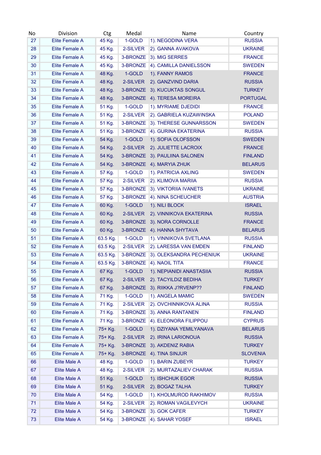| No | <b>Division</b>     | Ctg      | Medal    | Name                          | Country         |
|----|---------------------|----------|----------|-------------------------------|-----------------|
| 27 | Elite Female A      | 45 Kg.   | 1-GOLD   | 1). NEGODINA VERA             | <b>RUSSIA</b>   |
| 28 | Elite Female A      | 45 Kg.   | 2-SILVER | 2). GANNA AVAKOVA             | <b>UKRAINE</b>  |
| 29 | Elite Female A      | 45 Kg.   | 3-BRONZE | 3). MIG SERRES                | <b>FRANCE</b>   |
| 30 | Elite Female A      | 45 Kg.   | 3-BRONZE | 4). CAMILLA DANIELSSON        | <b>SWEDEN</b>   |
| 31 | Elite Female A      | 48 Kg.   | 1-GOLD   | 1). FANNY RAMOS               | <b>FRANCE</b>   |
| 32 | Elite Female A      | 48 Kg.   | 2-SILVER | 2). GANZVIND DARIA            | <b>RUSSIA</b>   |
| 33 | Elite Female A      | 48 Kg.   | 3-BRONZE | 3). KUCUKTAS SONGUL           | <b>TURKEY</b>   |
| 34 | Elite Female A      | 48 Kg.   | 3-BRONZE | 4). TERESA MOREIRA            | <b>PORTUGAL</b> |
| 35 | Elite Female A      | 51 Kg.   | 1-GOLD   | 1). MYRIAME DJEDIDI           | <b>FRANCE</b>   |
| 36 | Elite Female A      | 51 Kg.   | 2-SILVER | 2). GABRIELA KUZAWINSKA       | <b>POLAND</b>   |
| 37 | Elite Female A      | 51 Kg.   | 3-BRONZE | 3). THERESE GUNNARSSON        | <b>SWEDEN</b>   |
| 38 | Elite Female A      | 51 Kg.   | 3-BRONZE | 4). GURINA EKATERINA          | <b>RUSSIA</b>   |
| 39 | Elite Female A      | 54 Kg.   | 1-GOLD   | 1). SOFIA OLOFSSON            | <b>SWEDEN</b>   |
| 40 | Elite Female A      | 54 Kg.   | 2-SILVER | 2). JULIETTE LACROIX          | <b>FRANCE</b>   |
| 41 | Elite Female A      |          |          | 3-BRONZE 3). PAULIINA SALONEN | <b>FINLAND</b>  |
|    |                     | 54 Kg.   |          |                               | <b>BELARUS</b>  |
| 42 | Elite Female A      | 54 Kg.   | 3-BRONZE | 4). MARYIA ZHUK               |                 |
| 43 | Elite Female A      | 57 Kg.   | 1-GOLD   | 1). PATRICIA AXLING           | <b>SWEDEN</b>   |
| 44 | Elite Female A      | 57 Kg.   | 2-SILVER | 2). KLIMOVA MARIIA            | <b>RUSSIA</b>   |
| 45 | Elite Female A      | 57 Kg.   | 3-BRONZE | 3). VIKTORIIA IVANETS         | <b>UKRAINE</b>  |
| 46 | Elite Female A      | 57 Kg.   | 3-BRONZE | 4). NINA SCHEUCHER            | <b>AUSTRIA</b>  |
| 47 | Elite Female A      | 60 Kg.   | 1-GOLD   | 1). NILI BLOCK                | <b>ISRAEL</b>   |
| 48 | Elite Female A      | 60 Kg.   | 2-SILVER | 2). VINNIKOVA EKATERINA       | <b>RUSSIA</b>   |
| 49 | Elite Female A      | 60 Kg.   | 3-BRONZE | 3). NORA CORNOLLE             | <b>FRANCE</b>   |
| 50 | Elite Female A      | 60 Kg.   | 3-BRONZE | 4). HANNA SHYTAVA             | <b>BELARUS</b>  |
| 51 | Elite Female A      | 63.5 Kg. | 1-GOLD   | 1). VINNIKOVA SVETLANA        | <b>RUSSIA</b>   |
| 52 | Elite Female A      | 63.5 Kg. | 2-SILVER | 2). LARESSA VAN EMDEN         | <b>FINLAND</b>  |
| 53 | Elite Female A      | 63.5 Kg. | 3-BRONZE | 3). OLEKSANDRA PECHENIUK      | <b>UKRAINE</b>  |
| 54 | Elite Female A      | 63.5 Kg. | 3-BRONZE | 4). NAOIL TITA                | <b>FRANCE</b>   |
| 55 | Elite Female A      | 67 Kg.   | 1-GOLD   | 1). NEPIANIDI ANASTASIIA      | <b>RUSSIA</b>   |
| 56 | Elite Female A      | 67 Kg.   | 2-SILVER | 2). TACYILDIZ BEDIHA          | <b>TURKEY</b>   |
| 57 | Elite Female A      | 67 Kg.   | 3-BRONZE | 3). RIIKKA J?RVENP??          | <b>FINLAND</b>  |
| 58 | Elite Female A      | 71 Kg.   | 1-GOLD   | 1). ANGELA MAMIC              | <b>SWEDEN</b>   |
| 59 | Elite Female A      | 71 Kg.   | 2-SILVER | 2). OVCHINNIKOVA ALINA        | <b>RUSSIA</b>   |
| 60 | Elite Female A      | 71 Kg.   | 3-BRONZE | 3). ANNA RANTANEN             | <b>FINLAND</b>  |
| 61 | Elite Female A      | 71 Kg.   | 3-BRONZE | 4). ELEONORA FILIPPOU         | <b>CYPRUS</b>   |
| 62 | Elite Female A      | 75+ Kg.  | 1-GOLD   | 1). DZIYANA YEMILYANAVA       | <b>BELARUS</b>  |
| 63 | Elite Female A      | 75+ Kg.  | 2-SILVER | 2). IRINA LARIONOUA           | <b>RUSSIA</b>   |
| 64 | Elite Female A      | 75+ Kg.  | 3-BRONZE | 3). AKDENIZ RABIA             | <b>TURKEY</b>   |
| 65 | Elite Female A      | 75+ Kg.  | 3-BRONZE | 4). TINA SINJUR               | <b>SLOVENIA</b> |
| 66 | Elite Male A        | 48 Kg.   | 1-GOLD   | 1). BARIN ZUBEYR              | <b>TURKEY</b>   |
| 67 | Elite Male A        | 48 Kg.   | 2-SILVER | 2). MURTAZALIEV CHARAK        | <b>RUSSIA</b>   |
| 68 | <b>Elite Male A</b> | 51 Kg.   | 1-GOLD   | 1). ISHCHUK EGOR              | <b>RUSSIA</b>   |
| 69 | <b>Elite Male A</b> | 51 Kg.   | 2-SILVER | 2). BOGAZ TALHA               | <b>TURKEY</b>   |
|    |                     |          |          | 1). KHOLMUROD RAKHIMOV        |                 |
| 70 | Elite Male A        | 54 Kg.   | 1-GOLD   |                               | <b>RUSSIA</b>   |
| 71 | <b>Elite Male A</b> | 54 Kg.   | 2-SILVER | 2). ROMAN VAGILEVYCH          | <b>UKRAINE</b>  |
| 72 | Elite Male A        | 54 Kg.   | 3-BRONZE | 3). GOK CAFER                 | <b>TURKEY</b>   |
| 73 | Elite Male A        | 54 Kg.   | 3-BRONZE | 4). SAHAR YOSEF               | <b>ISRAEL</b>   |